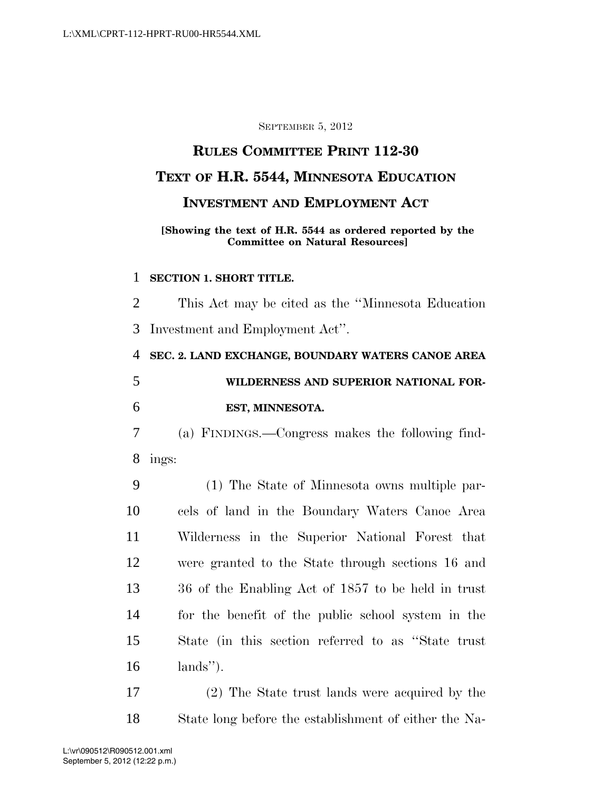## SEPTEMBER 5, 2012

## **RULES COMMITTEE PRINT 112-30 TEXT OF H.R. 5544, MINNESOTA EDUCATION INVESTMENT AND EMPLOYMENT ACT**

## **[Showing the text of H.R. 5544 as ordered reported by the Committee on Natural Resources]**

## **SECTION 1. SHORT TITLE.**

 This Act may be cited as the ''Minnesota Education Investment and Employment Act''.

 **SEC. 2. LAND EXCHANGE, BOUNDARY WATERS CANOE AREA WILDERNESS AND SUPERIOR NATIONAL FOR-EST, MINNESOTA.** 

 (a) FINDINGS.—Congress makes the following find-ings:

 (1) The State of Minnesota owns multiple par- cels of land in the Boundary Waters Canoe Area Wilderness in the Superior National Forest that were granted to the State through sections 16 and 36 of the Enabling Act of 1857 to be held in trust for the benefit of the public school system in the State (in this section referred to as ''State trust lands'').

 (2) The State trust lands were acquired by the State long before the establishment of either the Na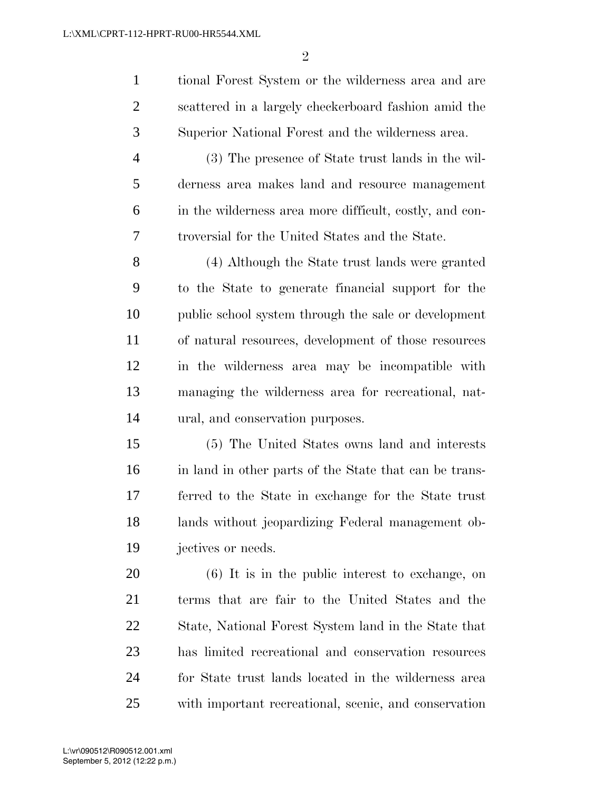tional Forest System or the wilderness area and are scattered in a largely checkerboard fashion amid the Superior National Forest and the wilderness area.

 (3) The presence of State trust lands in the wil- derness area makes land and resource management in the wilderness area more difficult, costly, and con-troversial for the United States and the State.

 (4) Although the State trust lands were granted to the State to generate financial support for the public school system through the sale or development of natural resources, development of those resources in the wilderness area may be incompatible with managing the wilderness area for recreational, nat-ural, and conservation purposes.

 (5) The United States owns land and interests in land in other parts of the State that can be trans- ferred to the State in exchange for the State trust lands without jeopardizing Federal management ob-jectives or needs.

 (6) It is in the public interest to exchange, on terms that are fair to the United States and the State, National Forest System land in the State that has limited recreational and conservation resources for State trust lands located in the wilderness area with important recreational, scenic, and conservation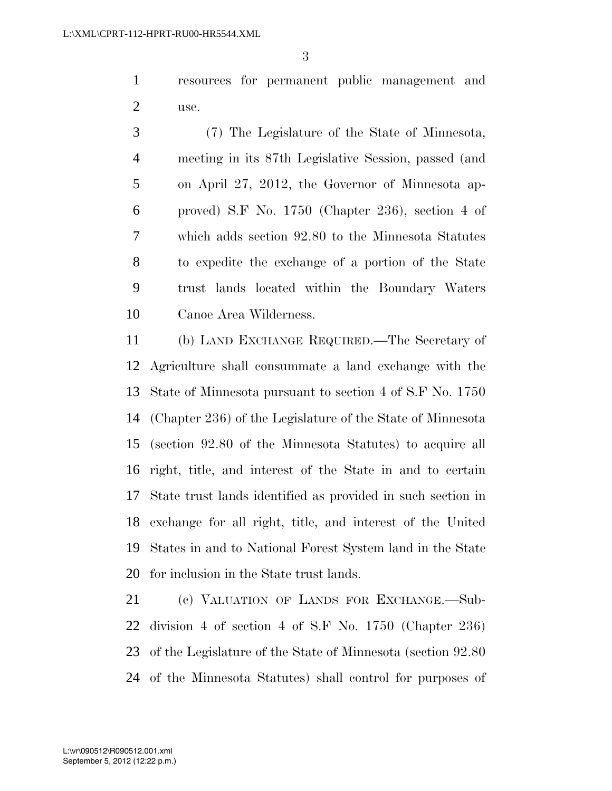resources for permanent public management and use.

 (7) The Legislature of the State of Minnesota, meeting in its 87th Legislative Session, passed (and on April 27, 2012, the Governor of Minnesota ap- proved) S.F No. 1750 (Chapter 236), section 4 of which adds section 92.80 to the Minnesota Statutes to expedite the exchange of a portion of the State trust lands located within the Boundary Waters Canoe Area Wilderness.

 (b) LAND EXCHANGE REQUIRED.—The Secretary of Agriculture shall consummate a land exchange with the State of Minnesota pursuant to section 4 of S.F No. 1750 (Chapter 236) of the Legislature of the State of Minnesota (section 92.80 of the Minnesota Statutes) to acquire all right, title, and interest of the State in and to certain State trust lands identified as provided in such section in exchange for all right, title, and interest of the United States in and to National Forest System land in the State for inclusion in the State trust lands.

 (c) VALUATION OF LANDS FOR EXCHANGE.—Sub- division 4 of section 4 of S.F No. 1750 (Chapter 236) of the Legislature of the State of Minnesota (section 92.80 of the Minnesota Statutes) shall control for purposes of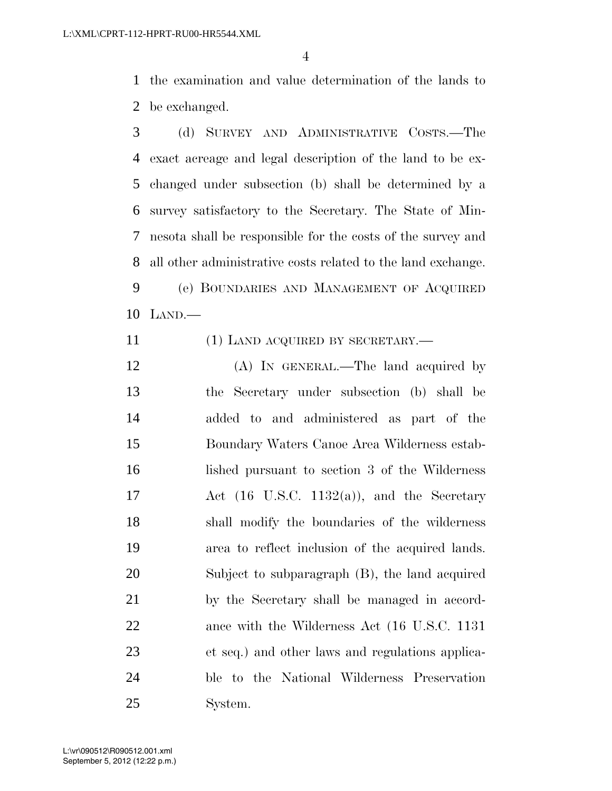the examination and value determination of the lands to be exchanged.

 (d) SURVEY AND ADMINISTRATIVE COSTS.—The exact acreage and legal description of the land to be ex- changed under subsection (b) shall be determined by a survey satisfactory to the Secretary. The State of Min- nesota shall be responsible for the costs of the survey and all other administrative costs related to the land exchange. (e) BOUNDARIES AND MANAGEMENT OF ACQUIRED LAND.—

11 (1) LAND ACQUIRED BY SECRETARY.—

12 (A) In GENERAL.—The land acquired by the Secretary under subsection (b) shall be added to and administered as part of the Boundary Waters Canoe Area Wilderness estab- lished pursuant to section 3 of the Wilderness 17 Act  $(16 \text{ U.S.C. } 1132(a))$ , and the Secretary shall modify the boundaries of the wilderness area to reflect inclusion of the acquired lands. Subject to subparagraph (B), the land acquired by the Secretary shall be managed in accord- ance with the Wilderness Act (16 U.S.C. 1131 et seq.) and other laws and regulations applica- ble to the National Wilderness Preservation System.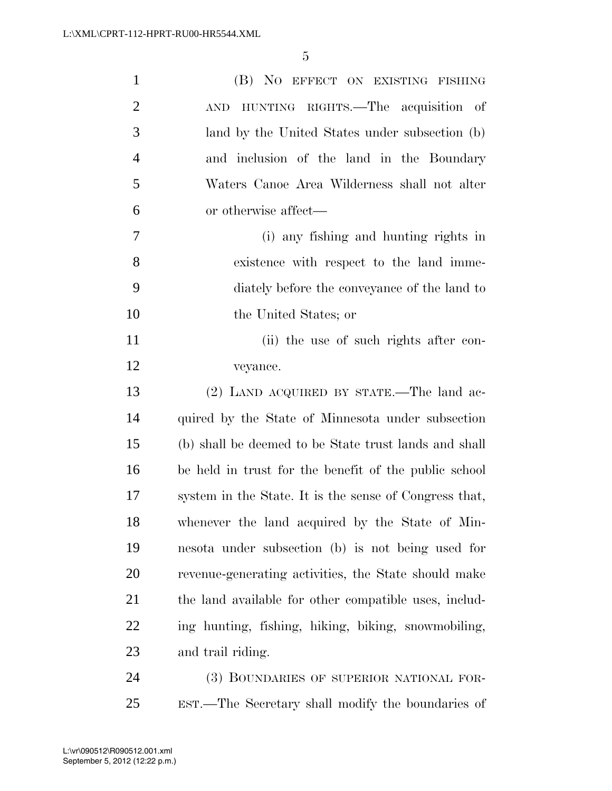| $\mathbf{1}$   | (B) NO EFFECT ON EXISTING FISHING                      |
|----------------|--------------------------------------------------------|
| $\overline{2}$ | HUNTING RIGHTS.—The acquisition of<br><b>AND</b>       |
| $\mathfrak{Z}$ | land by the United States under subsection (b)         |
| $\overline{4}$ | and inclusion of the land in the Boundary              |
| $\mathfrak{S}$ | Waters Canoe Area Wilderness shall not alter           |
| 6              | or otherwise affect—                                   |
| 7              | (i) any fishing and hunting rights in                  |
| 8              | existence with respect to the land imme-               |
| 9              | diately before the conveyance of the land to           |
| 10             | the United States; or                                  |
| 11             | (ii) the use of such rights after con-                 |
| 12             | veyance.                                               |
| 13             | (2) LAND ACQUIRED BY STATE.—The land ac-               |
| 14             | quired by the State of Minnesota under subsection      |
| 15             | (b) shall be deemed to be State trust lands and shall  |
| 16             | be held in trust for the benefit of the public school  |
| 17             | system in the State. It is the sense of Congress that, |
| 18             | whenever the land acquired by the State of Min-        |
| 19             | nesota under subsection (b) is not being used for      |
| 20             | revenue-generating activities, the State should make   |
| 21             | the land available for other compatible uses, includ-  |
| 22             | ing hunting, fishing, hiking, biking, snowmobiling,    |
| 23             | and trail riding.                                      |
| 24             | (3) BOUNDARIES OF SUPERIOR NATIONAL FOR-               |
| 25             | EST.—The Secretary shall modify the boundaries of      |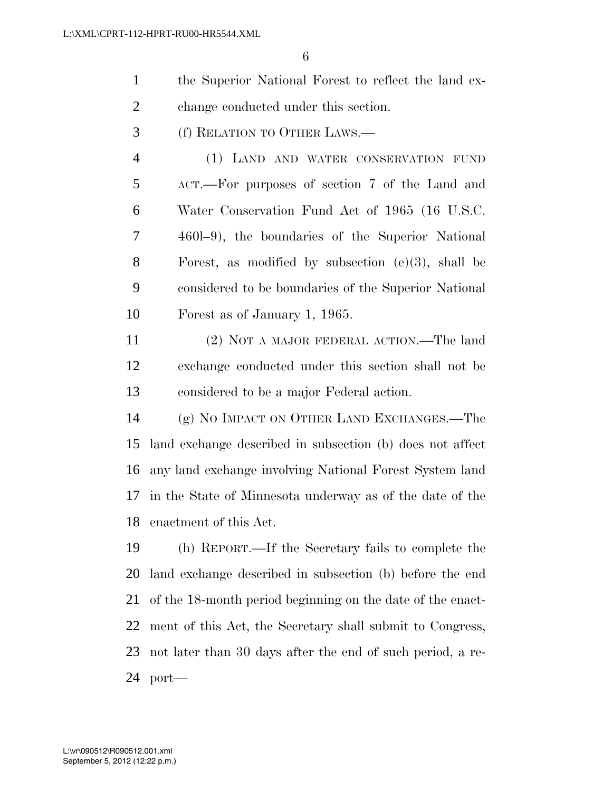- the Superior National Forest to reflect the land ex-change conducted under this section.
- (f) RELATION TO OTHER LAWS.—

 (1) LAND AND WATER CONSERVATION FUND ACT.—For purposes of section 7 of the Land and Water Conservation Fund Act of 1965 (16 U.S.C. 460l–9), the boundaries of the Superior National Forest, as modified by subsection (e)(3), shall be considered to be boundaries of the Superior National Forest as of January 1, 1965.

 (2) NOT A MAJOR FEDERAL ACTION.—The land exchange conducted under this section shall not be considered to be a major Federal action.

 (g) NO IMPACT ON OTHER LAND EXCHANGES.—The land exchange described in subsection (b) does not affect any land exchange involving National Forest System land in the State of Minnesota underway as of the date of the enactment of this Act.

 (h) REPORT.—If the Secretary fails to complete the land exchange described in subsection (b) before the end of the 18-month period beginning on the date of the enact- ment of this Act, the Secretary shall submit to Congress, not later than 30 days after the end of such period, a re-port—